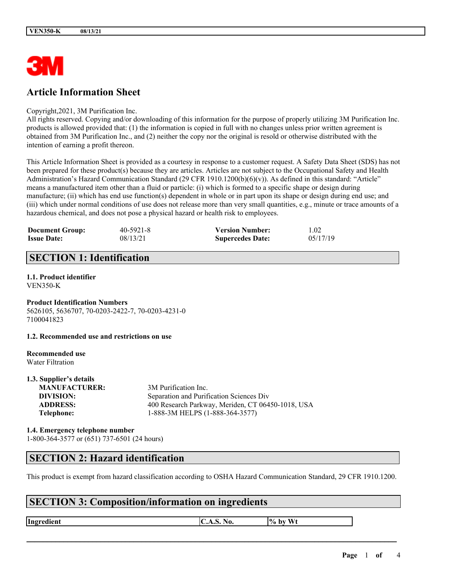

# **Article Information Sheet**

Copyright,2021, 3M Purification Inc.

All rights reserved. Copying and/or downloading of this information for the purpose of properly utilizing 3M Purification Inc. products is allowed provided that: (1) the information is copied in full with no changes unless prior written agreement is obtained from 3M Purification Inc., and (2) neither the copy nor the original is resold or otherwise distributed with the intention of earning a profit thereon.

This Article Information Sheet is provided as a courtesy in response to a customer request. A Safety Data Sheet (SDS) has not been prepared for these product(s) because they are articles. Articles are not subject to the Occupational Safety and Health Administration's Hazard Communication Standard (29 CFR 1910.1200(b)(6)(v)). As defined in this standard: "Article" means a manufactured item other than a fluid or particle: (i) which is formed to a specific shape or design during manufacture; (ii) which has end use function(s) dependent in whole or in part upon its shape or design during end use; and (iii) which under normal conditions of use does not release more than very small quantities, e.g., minute or trace amounts of a hazardous chemical, and does not pose a physical hazard or health risk to employees.

| <b>Document Group:</b> | $40 - 5921 - 8$ | <b>Version Number:</b>  | 1.02     |
|------------------------|-----------------|-------------------------|----------|
| <b>Issue Date:</b>     | 08/13/21        | <b>Supercedes Date:</b> | 05/17/19 |

# **SECTION 1: Identification**

#### **1.1. Product identifier** VEN350-K

**Product Identification Numbers** 5626105, 5636707, 70-0203-2422-7, 70-0203-4231-0 7100041823

**1.2. Recommended use and restrictions on use**

#### **Recommended use** Water Filtration

**1.3. Supplier's details**

| 1.3. Supplier's details |                                                   |
|-------------------------|---------------------------------------------------|
| <b>MANUFACTURER:</b>    | 3M Purification Inc.                              |
| DIVISION:               | Separation and Purification Sciences Div          |
| <b>ADDRESS:</b>         | 400 Research Parkway, Meriden, CT 06450-1018, USA |
| Telephone:              | 1-888-3M HELPS (1-888-364-3577)                   |
|                         |                                                   |

#### **1.4. Emergency telephone number** 1-800-364-3577 or (651) 737-6501 (24 hours)

## **SECTION 2: Hazard identification**

This product is exempt from hazard classification according to OSHA Hazard Communication Standard, 29 CFR 1910.1200.

 $\mathcal{L}_\mathcal{L} = \mathcal{L}_\mathcal{L} = \mathcal{L}_\mathcal{L} = \mathcal{L}_\mathcal{L} = \mathcal{L}_\mathcal{L} = \mathcal{L}_\mathcal{L} = \mathcal{L}_\mathcal{L} = \mathcal{L}_\mathcal{L} = \mathcal{L}_\mathcal{L} = \mathcal{L}_\mathcal{L} = \mathcal{L}_\mathcal{L} = \mathcal{L}_\mathcal{L} = \mathcal{L}_\mathcal{L} = \mathcal{L}_\mathcal{L} = \mathcal{L}_\mathcal{L} = \mathcal{L}_\mathcal{L} = \mathcal{L}_\mathcal{L}$ 

# **SECTION 3: Composition/information on ingredients**

**Ingredient C.A.S.** No.  $\begin{bmatrix} \phi & \phi \end{bmatrix}$  by Wt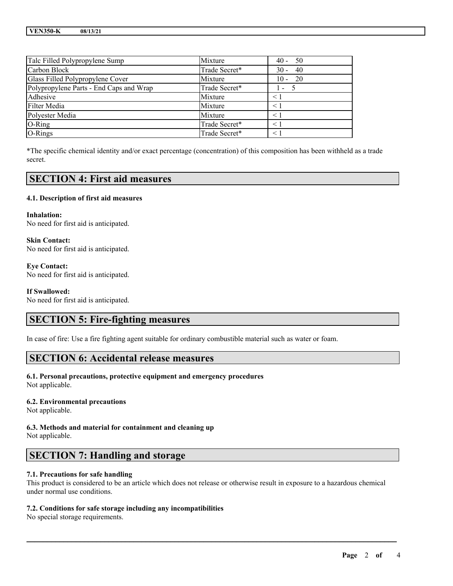| Talc Filled Polypropylene Sump          | Mixture       | $40 - 50$    |
|-----------------------------------------|---------------|--------------|
| Carbon Block                            | Trade Secret* | $30 - 40$    |
| Glass Filled Polypropylene Cover        | Mixture       | $10 - 20$    |
| Polypropylene Parts - End Caps and Wrap | Trade Secret* | $\mathbf{I}$ |
| Adhesive                                | Mixture       | $\leq 1$     |
| Filter Media                            | Mixture       | $\leq 1$     |
| Polyester Media                         | Mixture       | $\leq 1$     |
| $O$ -Ring                               | Trade Secret* | $\leq 1$     |
| O-Rings                                 | Trade Secret* | $\leq 1$     |

\*The specific chemical identity and/or exact percentage (concentration) of this composition has been withheld as a trade secret.

## **SECTION 4: First aid measures**

#### **4.1. Description of first aid measures**

**Inhalation:** No need for first aid is anticipated.

**Skin Contact:** No need for first aid is anticipated.

**Eye Contact:** No need for first aid is anticipated.

**If Swallowed:**

No need for first aid is anticipated.

### **SECTION 5: Fire-fighting measures**

In case of fire: Use a fire fighting agent suitable for ordinary combustible material such as water or foam.

### **SECTION 6: Accidental release measures**

### **6.1. Personal precautions, protective equipment and emergency procedures**

Not applicable.

#### **6.2. Environmental precautions**

Not applicable.

**6.3. Methods and material for containment and cleaning up** Not applicable.

# **SECTION 7: Handling and storage**

#### **7.1. Precautions for safe handling**

This product is considered to be an article which does not release or otherwise result in exposure to a hazardous chemical under normal use conditions.

 $\mathcal{L}_\mathcal{L} = \mathcal{L}_\mathcal{L} = \mathcal{L}_\mathcal{L} = \mathcal{L}_\mathcal{L} = \mathcal{L}_\mathcal{L} = \mathcal{L}_\mathcal{L} = \mathcal{L}_\mathcal{L} = \mathcal{L}_\mathcal{L} = \mathcal{L}_\mathcal{L} = \mathcal{L}_\mathcal{L} = \mathcal{L}_\mathcal{L} = \mathcal{L}_\mathcal{L} = \mathcal{L}_\mathcal{L} = \mathcal{L}_\mathcal{L} = \mathcal{L}_\mathcal{L} = \mathcal{L}_\mathcal{L} = \mathcal{L}_\mathcal{L}$ 

#### **7.2. Conditions for safe storage including any incompatibilities**

No special storage requirements.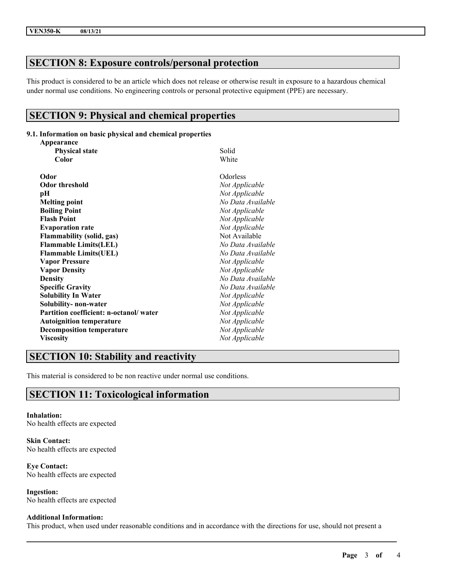# **SECTION 8: Exposure controls/personal protection**

This product is considered to be an article which does not release or otherwise result in exposure to a hazardous chemical under normal use conditions. No engineering controls or personal protective equipment (PPE) are necessary.

# **SECTION 9: Physical and chemical properties**

#### **9.1. Information on basic physical and chemical properties**

| Appearance                             |                   |  |
|----------------------------------------|-------------------|--|
| <b>Physical state</b>                  | Solid<br>White    |  |
| Color                                  |                   |  |
| Odor                                   | Odorless          |  |
| <b>Odor threshold</b>                  | Not Applicable    |  |
| pН                                     | Not Applicable    |  |
| <b>Melting point</b>                   | No Data Available |  |
| <b>Boiling Point</b>                   | Not Applicable    |  |
| <b>Flash Point</b>                     | Not Applicable    |  |
| <b>Evaporation rate</b>                | Not Applicable    |  |
| <b>Flammability (solid, gas)</b>       | Not Available     |  |
| <b>Flammable Limits(LEL)</b>           | No Data Available |  |
| <b>Flammable Limits(UEL)</b>           | No Data Available |  |
| <b>Vapor Pressure</b>                  | Not Applicable    |  |
| <b>Vapor Density</b>                   | Not Applicable    |  |
| <b>Density</b>                         | No Data Available |  |
| <b>Specific Gravity</b>                | No Data Available |  |
| <b>Solubility In Water</b>             | Not Applicable    |  |
| Solubility- non-water                  | Not Applicable    |  |
| Partition coefficient: n-octanol/water | Not Applicable    |  |
| <b>Autoignition temperature</b>        | Not Applicable    |  |
| <b>Decomposition temperature</b>       | Not Applicable    |  |
| <b>Viscosity</b>                       | Not Applicable    |  |

## **SECTION 10: Stability and reactivity**

This material is considered to be non reactive under normal use conditions.

# **SECTION 11: Toxicological information**

**Inhalation:** No health effects are expected

**Skin Contact:** No health effects are expected

**Eye Contact:** No health effects are expected

**Ingestion:** No health effects are expected

#### **Additional Information:**

This product, when used under reasonable conditions and in accordance with the directions for use, should not present a

 $\mathcal{L}_\mathcal{L} = \mathcal{L}_\mathcal{L} = \mathcal{L}_\mathcal{L} = \mathcal{L}_\mathcal{L} = \mathcal{L}_\mathcal{L} = \mathcal{L}_\mathcal{L} = \mathcal{L}_\mathcal{L} = \mathcal{L}_\mathcal{L} = \mathcal{L}_\mathcal{L} = \mathcal{L}_\mathcal{L} = \mathcal{L}_\mathcal{L} = \mathcal{L}_\mathcal{L} = \mathcal{L}_\mathcal{L} = \mathcal{L}_\mathcal{L} = \mathcal{L}_\mathcal{L} = \mathcal{L}_\mathcal{L} = \mathcal{L}_\mathcal{L}$